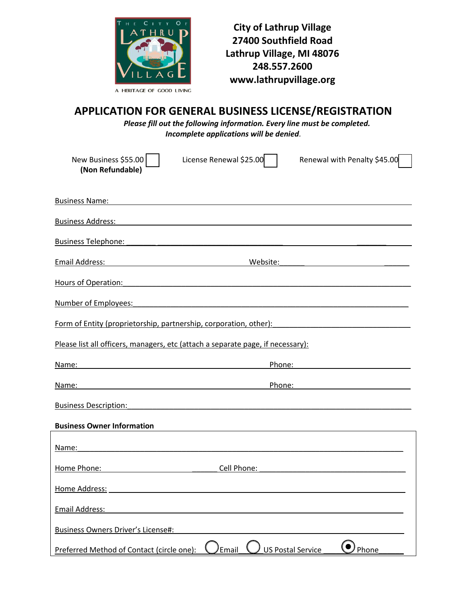

**City of Lathrup Village 27400 Southfield Road Lathrup Village, MI 48076 248.557.2600 www.lathrupvillage.org**

## **APPLICATION FOR GENERAL BUSINESS LICENSE/REGISTRATION**

*Please fill out the following information. Every line must be completed. Incomplete applications will be denied.*

| New Business \$55.00<br>License Renewal \$25.00<br>(Non Refundable)                                                                                                                                                                  | Renewal with Penalty \$45.00                                                                                                                                                                                                   |
|--------------------------------------------------------------------------------------------------------------------------------------------------------------------------------------------------------------------------------------|--------------------------------------------------------------------------------------------------------------------------------------------------------------------------------------------------------------------------------|
| <b>Business Name:</b>                                                                                                                                                                                                                |                                                                                                                                                                                                                                |
|                                                                                                                                                                                                                                      |                                                                                                                                                                                                                                |
| Business Telephone: <u>contract and contract and contract and contract and contract and contract and contract and contract and contract and contract and contract and contract and contract and contract and contract and contra</u> |                                                                                                                                                                                                                                |
| Email Address:<br><u> 1989 - Johann Barn, mars eta bainar eta industrial eta industrial eta industrial eta industrial eta industria</u>                                                                                              | Website:<br><u> 1980 - Johann Barbara, martin amerikan ba</u>                                                                                                                                                                  |
| Hours of Operation:                                                                                                                                                                                                                  |                                                                                                                                                                                                                                |
|                                                                                                                                                                                                                                      |                                                                                                                                                                                                                                |
| <u>Form of Entity (proprietorship, partnership, corporation, other):</u>                                                                                                                                                             |                                                                                                                                                                                                                                |
| Please list all officers, managers, etc (attach a separate page, if necessary):                                                                                                                                                      |                                                                                                                                                                                                                                |
| Name:                                                                                                                                                                                                                                | Phone: the contract of the contract of the contract of the contract of the contract of the contract of the contract of the contract of the contract of the contract of the contract of the contract of the contract of the con |
| Name:<br><u> 1989 - Johann Barbara, martin amerikan basar dan berasal dalam basa dalam basar dalam basar dalam basar dala</u>                                                                                                        | Phone: <u>__________________________________</u>                                                                                                                                                                               |
| <b>Business Description:</b><br><u> 1989 - Johann Stoff, deutscher Stoffen und der Stoffen und der Stoffen und der Stoffen und der Stoffen und der</u>                                                                               |                                                                                                                                                                                                                                |
| <b>Business Owner Information</b>                                                                                                                                                                                                    |                                                                                                                                                                                                                                |
| Name:                                                                                                                                                                                                                                |                                                                                                                                                                                                                                |
| Cell Phone:<br>Home Phone:                                                                                                                                                                                                           |                                                                                                                                                                                                                                |
| Home Address:                                                                                                                                                                                                                        |                                                                                                                                                                                                                                |
| <b>Email Address:</b>                                                                                                                                                                                                                |                                                                                                                                                                                                                                |
| <b>Business Owners Driver's License#:</b>                                                                                                                                                                                            |                                                                                                                                                                                                                                |
| Email<br>Preferred Method of Contact (circle one):                                                                                                                                                                                   | <b>US Postal Service</b><br>Phone                                                                                                                                                                                              |